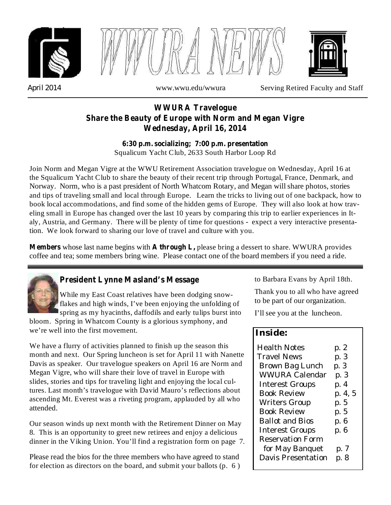





*April 2014* www.wwu.edu/wwura Serving Retired Faculty and Staff

# **WWURA Travelogue Share the Beauty of Europe with Norm and Megan Vigre Wednesday, April 16, 2014**

Squalicum Yacht Club, 2633 South Harbor Loop Rd **6:30 p.m. socializing; 7:00 p.m. presentation**

Join Norm and Megan Vigre at the WWU Retirement Association travelogue on Wednesday, April 16 at the Squalicum Yacht Club to share the beauty of their recent trip through Portugal, France, Denmark, and Norway. Norm, who is a past president of North Whatcom Rotary, and Megan will share photos, stories and tips of traveling small and local through Europe. Learn the tricks to living out of one backpack, how to book local accommodations, and find some of the hidden gems of Europe. They will also look at how traveling small in Europe has changed over the last 10 years by comparing this trip to earlier experiences in Italy, Austria, and Germany. There will be plenty of time for questions - expect a very interactive presentation. We look forward to sharing our love of travel and culture with you.

**Members** whose last name begins with **A through L,** please bring a dessert to share. WWURA provides coffee and tea; some members bring wine. Please contact one of the board members if you need a ride.



# **President Lynne Masland's Message**

While my East Coast relatives have been dodging snowflakes and high winds, I've been enjoying the unfolding of spring as my hyacinths, daffodils and early tulips burst into

bloom. Spring in Whatcom County is a glorious symphony, and we're well into the first movement.

We have a flurry of activities planned to finish up the season this month and next. Our Spring luncheon is set for April 11 with Nanette Davis as speaker. Our travelogue speakers on April 16 are Norm and Megan Vigre, who will share their love of travel in Europe with slides, stories and tips for traveling light and enjoying the local cultures. Last month's travelogue with David Mauro's reflections about ascending Mt. Everest was a riveting program, applauded by all who attended.

Our season winds up next month with the Retirement Dinner on May 8. This is an opportunity to greet new retirees and enjoy a delicious dinner in the Viking Union. You'll find a registration form on page 7.

Please read the bios for the three members who have agreed to stand for election as directors on the board, and submit your ballots (p. 6 ) to Barbara Evans by April 18th.

Thank you to all who have agreed to be part of our organization.

I'll see you at the luncheon.

# **Inside:**

| <b>Health Notes</b><br><b>Travel News</b><br>Brown Bag Lunch<br><b>WWURA Calendar</b> | p. 2<br>p. 3<br>p. 3<br>p. 3 |
|---------------------------------------------------------------------------------------|------------------------------|
| <b>Interest Groups</b>                                                                | p. 4                         |
| <b>Book Review</b>                                                                    | p. 4, 5                      |
| <b>Writers Group</b>                                                                  | p. 5                         |
| <b>Book Review</b>                                                                    | p. 5                         |
| Ballot and Bios                                                                       | p. 6                         |
| <b>Interest Groups</b>                                                                | p. 6                         |
| <b>Reservation Form</b>                                                               |                              |
| for May Banquet                                                                       | p. 7                         |
| Davis Presentation                                                                    | p. 8                         |
|                                                                                       |                              |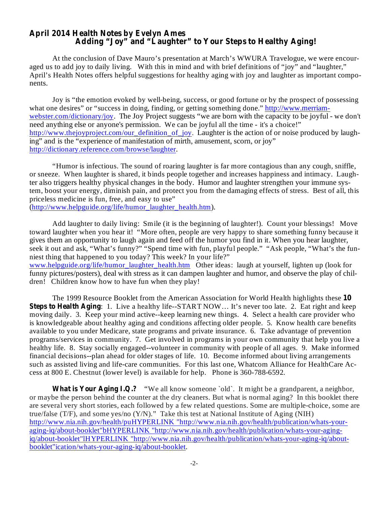### **April 2014 Health Notes by Evelyn Ames Adding "Joy" and "Laughter" to Your Steps to Healthy Aging!**

At the conclusion of Dave Mauro's presentation at March's WWURA Travelogue, we were encouraged us to add joy to daily living. With this in mind and with brief definitions of "joy" and "laughter," April's Health Notes offers helpful suggestions for healthy aging with joy and laughter as important components.

Joy is "the emotion evoked by well-being, success, or good fortune or by the prospect of possessing what one desires" or "success in doing, finding, or getting something done." http://www.merriamwebster.com/dictionary/joy. The Joy Project suggests "we are born with the capacity to be joyful - we don't need anything else or anyone's permission. We can be joyful all the time - it's a choice!" http://www.thejoyproject.com/our\_definition\_of\_joy. Laughter is the action of or noise produced by laughing" and is the "experience of manifestation of mirth, amusement, scorn, or joy" http://dictionary.reference.com/browse/laughter.

"Humor is infectious. The sound of roaring laughter is far more contagious than any cough, sniffle, or sneeze. When laughter is shared, it binds people together and increases happiness and intimacy. Laughter also triggers healthy physical changes in the body. Humor and laughter strengthen your immune system, boost your energy, diminish pain, and protect you from the damaging effects of stress. Best of all, this priceless medicine is fun, free, and easy to use"

(http://www.helpguide.org/life/humor\_laughter\_health.htm).

Add laughter to daily living: Smile (it is the beginning of laughter!). Count your blessings! Move toward laughter when you hear it! "More often, people are very happy to share something funny because it gives them an opportunity to laugh again and feed off the humor you find in it. When you hear laughter, seek it out and ask, "What's funny?" "Spend time with fun, playful people." "Ask people, "What's the funniest thing that happened to you today? This week? In your life?" www.helpguide.org/life/humor\_laughter\_health.htm Other ideas: laugh at yourself, lighten up (look for funny pictures/posters), deal with stress as it can dampen laughter and humor, and observe the play of children! Children know how to have fun when they play!

The 1999 Resource Booklet from the American Association for World Health highlights these 10 **Steps to Health Aging:** 1. Live a healthy life--START NOW... It's never too late. 2. Eat right and keep moving daily. 3. Keep your mind active--keep learning new things. 4. Select a health care provider who is knowledgeable about healthy aging and conditions affecting older people. 5. Know health care benefits available to you under Medicare, state programs and private insurance. 6. Take advantage of prevention programs/services in community. 7. Get involved in programs in your own community that help you live a healthy life. 8. Stay socially engaged--volunteer in community with people of all ages. 9. Make informed financial decisions--plan ahead for older stages of life. 10. Become informed about living arrangements such as assisted living and life-care communities. For this last one, Whatcom Alliance for HealthCare Access at 800 E. Chestnut (lower level) is available for help. Phone is 360-788-6592.

**What is Your Aging I.Q.?** "We all know someone `old`. It might be a grandparent, a neighbor, or maybe the person behind the counter at the dry cleaners. But what is normal aging? In this booklet there are several very short stories, each followed by a few related questions. Some are multiple-choice, some are true/false (T/F), and some yes/no (Y/N)." Take this test at National Institute of Aging (NIH) http://www.nia.nih.gov/health/puHYPERLINK "http://www.nia.nih.gov/health/publication/whats-youraging-iq/about-booklet"bHYPERLINK "http://www.nia.nih.gov/health/publication/whats-your-agingiq/about-booklet"lHYPERLINK "http://www.nia.nih.gov/health/publication/whats-your-aging-iq/aboutbooklet"ication/whats-your-aging-iq/about-booklet.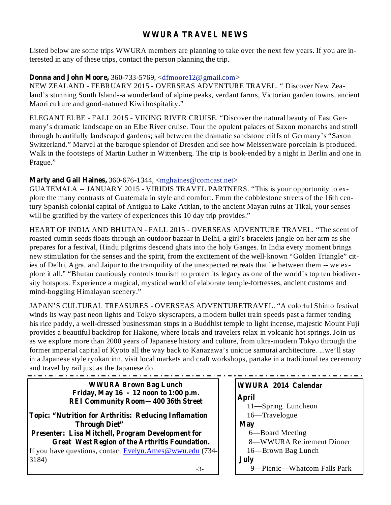# **WWURA TRAVEL NEWS**

Listed below are some trips WWURA members are planning to take over the next few years. If you are interested in any of these trips, contact the person planning the trip.

## **Donna and John Moore,** 360-733-5769, <dfmoore12@gmail.com>

NEW ZEALAND - FEBRUARY 2015 - OVERSEAS ADVENTURE TRAVEL. " Discover New Zealand's stunning South Island--a wonderland of alpine peaks, verdant farms, Victorian garden towns, ancient Maori culture and good-natured Kiwi hospitality."

ELEGANT ELBE - FALL 2015 - VIKING RIVER CRUISE. "Discover the natural beauty of East Germany's dramatic landscape on an Elbe River cruise. Tour the opulent palaces of Saxon monarchs and stroll through beautifully landscaped gardens; sail between the dramatic sandstone cliffs of Germany's "Saxon Switzerland." Marvel at the baroque splendor of Dresden and see how Meissenware porcelain is produced. Walk in the footsteps of Martin Luther in Wittenberg. The trip is book-ended by a night in Berlin and one in Prague."

## **Marty and Gail Haines,** 360-676-1344, <mghaines@comcast.net>

GUATEMALA -- JANUARY 2015 - VIRIDIS TRAVEL PARTNERS. "This is your opportunity to explore the many contrasts of Guatemala in style and comfort. From the cobblestone streets of the 16th century Spanish colonial capital of Antigua to Lake Atitlan, to the ancient Mayan ruins at Tikal, your senses will be gratified by the variety of experiences this 10 day trip provides."

HEART OF INDIA AND BHUTAN - FALL 2015 - OVERSEAS ADVENTURE TRAVEL. "The scent of roasted cumin seeds floats through an outdoor bazaar in Delhi, a girl's bracelets jangle on her arm as she prepares for a festival, Hindu pilgrims descend ghats into the holy Ganges. In India every moment brings new stimulation for the senses and the spirit, from the excitement of the well-known "Golden Triangle" cities of Delhi, Agra, and Jaipur to the tranquility of the unexpected retreats that lie between them -- we explore it all." "Bhutan cautiously controls tourism to protect its legacy as one of the world's top ten biodiversity hotspots. Experience a magical, mystical world of elaborate temple-fortresses, ancient customs and mind-boggling Himalayan scenery."

JAPAN'S CULTURAL TREASURES - OVERSEAS ADVENTURETRAVEL. "A colorful Shinto festival winds its way past neon lights and Tokyo skyscrapers, a modern bullet train speeds past a farmer tending his rice paddy, a well-dressed businessman stops in a Buddhist temple to light incense, majestic Mount Fuji provides a beautiful backdrop for Hakone, where locals and travelers relax in volcanic hot springs. Join us as we explore more than 2000 years of Japanese history and culture, from ultra-modern Tokyo through the former imperial capital of Kyoto all the way back to Kanazawa's unique samurai architecture. ...we'll stay in a Japanese style ryokan inn, visit local markets and craft workshops, partake in a traditional tea ceremony and travel by rail just as the Japanese do.

| <b>WWURA Brown Bag Lunch</b>                                                         | WWURA 2014 Calendar         |
|--------------------------------------------------------------------------------------|-----------------------------|
| Friday, May $16 - 12$ noon to 1:00 p.m.<br><b>REI Community Room-400 36th Street</b> | April                       |
|                                                                                      | 11-Spring Luncheon          |
| <b>Topic: "Nutrition for Arthritis: Reducing Inflamation</b>                         | 16—Travelogue               |
| <b>Through Diet"</b>                                                                 | <b>May</b>                  |
| <b>Presenter: Lisa Mitchell, Program Development for</b>                             | 6—Board Meeting             |
| Great West Region of the Arthritis Foundation.                                       | 8-WWURA Retirement Dinner   |
| If you have questions, contact Evelyn.Ames@wwu.edu (734-                             | 16—Brown Bag Lunch          |
| 3184)                                                                                | July                        |
| $-3-$                                                                                | 9-Picnic-Whatcom Falls Park |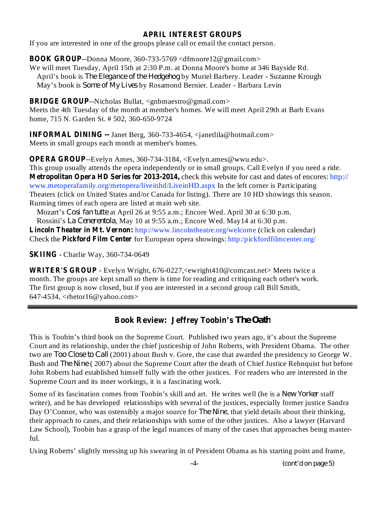## **APRIL INTEREST GROUPS**

If you are interested in one of the groups please call or email the contact person.

**BOOK GROUP** --Donna Moore, 360-733-5769 <dfmoore12@gmail.com>

We will meet Tuesday, April 15th at 2:30 P.m. at Donna Moore's home at 346 Bayside Rd. April's book is *The Elegance of the Hedgehog* by Muriel Barbery. Leader - Suzanne Krough May's book is *Some of My Lives* by Rosamond Bernier. Leader - Barbara Levin

**BRIDGE GROUP** --Nicholas Bullat, <gnbmaestro@gmail.com> Meets the 4th Tuesday of the month at member's homes. We will meet April 29th at Barb Evans home, 715 N. Garden St. # 502, 360-650-9724

**INFORMAL DINING --** Janet Berg, 360-733-4654, <janetlila@hotmail.com> Meets in small groups each month at member's homes.

**OPERA GROUP**--Evelyn Ames, 360-734-3184, <Evelyn.ames@wwu.edu>.

**Metropolitan Opera HD Series for 2013-2014,** check this website for cast and dates of encores: http:// This group usually attends the opera independently or in small groups. Call Evelyn if you need a ride. www.metoperafamily.org/metopera/liveinhd/LiveinHD.aspx In the left corner is Participating Theaters (click on United States and/or Canada for listing). There are 10 HD showings this season. Running times of each opera are listed at main web site.

Mozart's *Cosi fan tutte* at April 26 at 9:55 a.m.; Encore Wed. April 30 at 6:30 p.m. Rossini's *La Cenerentola*, May 10 at 9:55 a.m.; Encore Wed. May 14 at 6:30 p.m.

**Lincoln Theater in Mt. Vernon:** http://www.lincolntheatre.org/welcome (click on calendar) Check the **Pickford Film Center** for European opera showings: http:/pickfordfilmcenter.org/

**SKIING** - Charlie Way, 360-734-0649

**WRITER'S GROUP** - Evelyn Wright, 676-0227,<ewright410@comcast.net> Meets twice a month. The groups are kept small so there is time for reading and critiquing each other's work. The first group is now closed, but if you are interested in a second group call Bill Smith, 647-4534, <rhetor16@yahoo.com>

# **Book Review: Jeffrey Toobin's** *The Oath*

This is Toobin's third book on the Supreme Court. Published two years ago, it's about the Supreme Court and its relationship, under the chief justiceship of John Roberts, with President Obama. The other two are *Too Close to Call* (2001) about Bush v. Gore, the case that awarded the presidency to George W. Bush and *The Nine* (2007) about the Supreme Court after the death of Chief Justice Rehnquist but before John Roberts had established himself fully with the other justices. For readers who are interested in the Supreme Court and its inner workings, it is a fascinating work.

Some of its fascination comes from Toobin's skill and art. He writes well (he is a New Yorker staff writer), and he has developed relationships with several of the justices, especially former justice Sandra Day O'Connor, who was ostensibly a major source for *The Nine*, that yield details about their thinking, their approach to cases, and their relationships with some of the other justices. Also a lawyer (Harvard Law School), Toobin has a grasp of the legal nuances of many of the cases that approaches being masterful.

Using Roberts' slightly messing up his swearing in of President Obama as his starting point and frame,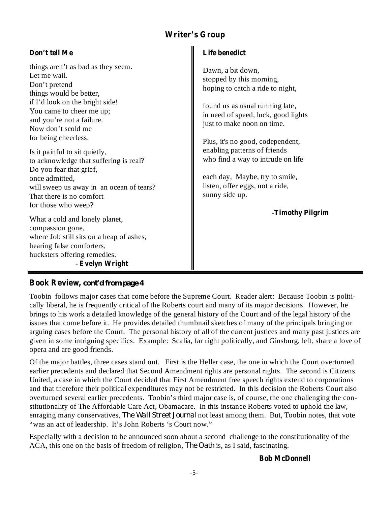# **Writer's Group**

## **Don't tell Me**

things aren't as bad as they seem. Let me wail. Don't pretend things would be better, if I'd look on the bright side! You came to cheer me up; and you're not a failure. Now don't scold me for being cheerless.

Is it painful to sit quietly, to acknowledge that suffering is real? Do you fear that grief, once admitted, will sweep us away in an ocean of tears? That there is no comfort for those who weep?

**Evelyn Wright** - What a cold and lonely planet, compassion gone, where Job still sits on a heap of ashes, hearing false comforters, hucksters offering remedies.

## **Life benedict**

Dawn, a bit down, stopped by this morning, hoping to catch a ride to night,

found us as usual running late, in need of speed, luck, good lights just to make noon on time.

Plus, it's no good, codependent, enabling patterns of friends who find a way to intrude on life

each day, Maybe, try to smile, listen, offer eggs, not a ride, sunny side up.

**Timothy Pilgrim** -

# **Book Review,** *cont'd from page 4*

Toobin follows major cases that come before the Supreme Court. Reader alert: Because Toobin is politically liberal, he is frequently critical of the Roberts court and many of its major decisions. However, he brings to his work a detailed knowledge of the general history of the Court and of the legal history of the issues that come before it. He provides detailed thumbnail sketches of many of the principals bringing or arguing cases before the Court. The personal history of all of the current justices and many past justices are given in some intriguing specifics. Example: Scalia, far right politically, and Ginsburg, left, share a love of opera and are good friends.

Of the major battles, three cases stand out. First is the Heller case, the one in which the Court overturned earlier precedents and declared that Second Amendment rights are personal rights. The second is Citizens United, a case in which the Court decided that First Amendment free speech rights extend to corporations and that therefore their political expenditures may not be restricted. In this decision the Roberts Court also overturned several earlier precedents. Toobin's third major case is, of course, the one challenging the constitutionality of The Affordable Care Act, Obamacare. In this instance Roberts voted to uphold the law, enraging many conservatives, *The Wall Street Journal* not least among them. But, Toobin notes, that vote "was an act of leadership. It's John Roberts 's Court now."

Especially with a decision to be announced soon about a second challenge to the constitutionality of the ACA, this one on the basis of freedom of religion, *The Oath* is, as I said, fascinating.

**Bob McDonnell**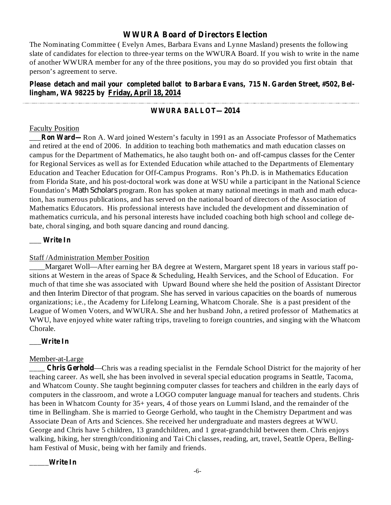### **WWURA Board of Directors Election**

The Nominating Committee ( Evelyn Ames, Barbara Evans and Lynne Masland) presents the following slate of candidates for election to three-year terms on the WWURA Board. If you wish to write in the name of another WWURA member for any of the three positions, you may do so provided you first obtain that person's agreement to serve.

### **Please detach and mail your completed ballot to Barbara Evans, 715 N. Garden Street, #502, Bellingham, WA 98225 by Friday, April 18, 2014**

#### **WWURA BALLOT—2014**

#### Faculty Position

**\_\_Ron Ward—Ron A.** Ward joined Western's faculty in 1991 as an Associate Professor of Mathematics and retired at the end of 2006. In addition to teaching both mathematics and math education classes on campus for the Department of Mathematics, he also taught both on- and off-campus classes for the Center for Regional Services as well as for Extended Education while attached to the Departments of Elementary Education and Teacher Education for Off-Campus Programs. Ron's Ph.D. is in Mathematics Education from Florida State, and his post-doctoral work was done at WSU while a participant in the National Science Foundation's *Math Scholars* program. Ron has spoken at many national meetings in math and math education, has numerous publications, and has served on the national board of directors of the Association of Mathematics Educators. His professional interests have included the development and dissemination of mathematics curricula, and his personal interests have included coaching both high school and college debate, choral singing, and both square dancing and round dancing.

### **Write In** \_\_\_

#### Staff /Administration Member Position

Margaret Woll—After earning her BA degree at Western, Margaret spent 18 years in various staff positions at Western in the areas of Space & Scheduling, Health Services, and the School of Education. For much of that time she was associated with Upward Bound where she held the position of Assistant Director and then Interim Director of that program. She has served in various capacities on the boards of numerous organizations; i.e., the Academy for Lifelong Learning, Whatcom Chorale. She is a past president of the League of Women Voters, and WWURA. She and her husband John, a retired professor of Mathematics at WWU, have enjoyed white water rafting trips, traveling to foreign countries, and singing with the Whatcom Chorale.

#### **Write In** \_\_\_

#### Member-at-Large

**Chris Gerhold**—Chris was a reading specialist in the Ferndale School District for the majority of her teaching career. As well, she has been involved in several special education programs in Seattle, Tacoma, and Whatcom County. She taught beginning computer classes for teachers and children in the early days of computers in the classroom, and wrote a LOGO computer language manual for teachers and students. Chris has been in Whatcom County for 35+ years, 4 of those years on Lummi Island, and the remainder of the time in Bellingham. She is married to George Gerhold, who taught in the Chemistry Department and was Associate Dean of Arts and Sciences. She received her undergraduate and masters degrees at WWU. George and Chris have 5 children, 13 grandchildren, and 1 great-grandchild between them. Chris enjoys walking, hiking, her strength/conditioning and Tai Chi classes, reading, art, travel, Seattle Opera, Bellingham Festival of Music, being with her family and friends.

**Write In** \_\_\_\_\_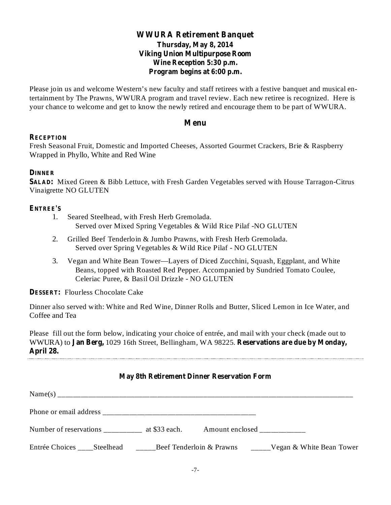## **WWURA Retirement Banquet Thursday, May 8, 2014 Viking Union Multipurpose Room Wine Reception 5:30 p.m. Program begins at 6:00 p.m.**

Please join us and welcome Western's new faculty and staff retirees with a festive banquet and musical entertainment by The Prawns, WWURA program and travel review. Each new retiree is recognized. Here is your chance to welcome and get to know the newly retired and encourage them to be part of WWURA.

### **Menu**

### **RECEPTION**

Fresh Seasonal Fruit, Domestic and Imported Cheeses, Assorted Gourmet Crackers, Brie & Raspberry Wrapped in Phyllo, White and Red Wine

### **DINNER**

**SALAD:** Mixed Green & Bibb Lettuce, with Fresh Garden Vegetables served with House Tarragon-Citrus Vinaigrette NO GLUTEN

### **ENTREE'S**

- 1. Seared Steelhead, with Fresh Herb Gremolada. Served over Mixed Spring Vegetables & Wild Rice Pilaf -NO GLUTEN
- 2. Grilled Beef Tenderloin & Jumbo Prawns, with Fresh Herb Gremolada. Served over Spring Vegetables & Wild Rice Pilaf - NO GLUTEN
- 3. Vegan and White Bean Tower—Layers of Diced Zucchini, Squash, Eggplant, and White Beans, topped with Roasted Red Pepper. Accompanied by Sundried Tomato Coulee, Celeriac Puree, & Basil Oil Drizzle - NO GLUTEN

**DESSERT:** Flourless Chocolate Cake

Dinner also served with: White and Red Wine, Dinner Rolls and Butter, Sliced Lemon in Ice Water, and Coffee and Tea

WWURA) to Jan Berg, 1029 16th Street, Bellingham, WA 98225. Reservations are due by Monday, **April 28.** Please fill out the form below, indicating your choice of entrée, and mail with your check (made out to

## **May 8th Retirement Dinner Reservation Form**